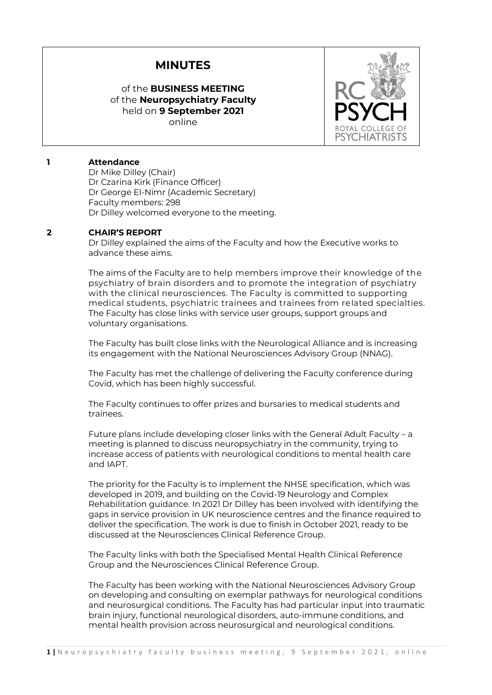# **MINUTES**

## of the **BUSINESS MEETING**  of the **Neuropsychiatry Faculty** held on **9 September 2021** online



## **1 Attendance**

Dr Mike Dilley (Chair) Dr Czarina Kirk (Finance Officer) Dr George El-Nimr (Academic Secretary) Faculty members: 298 Dr Dilley welcomed everyone to the meeting.

## **2 CHAIR'S REPORT**

Dr Dilley explained the aims of the Faculty and how the Executive works to advance these aims.

The aims of the Faculty are to help members improve their knowledge of the psychiatry of brain disorders and to promote the integration of psychiatry with the clinical neurosciences. The Faculty is committed to supporting medical students, psychiatric trainees and trainees from related specialties. The Faculty has close links with service user groups, support groups and voluntary organisations.

The Faculty has built close links with the Neurological Alliance and is increasing its engagement with the National Neurosciences Advisory Group (NNAG).

The Faculty has met the challenge of delivering the Faculty conference during Covid, which has been highly successful.

The Faculty continues to offer prizes and bursaries to medical students and trainees.

Future plans include developing closer links with the General Adult Faculty – a meeting is planned to discuss neuropsychiatry in the community, trying to increase access of patients with neurological conditions to mental health care and IAPT.

The priority for the Faculty is to implement the NHSE specification, which was developed in 2019, and building on the Covid-19 Neurology and Complex Rehabilitation guidance. In 2021 Dr Dilley has been involved with identifying the gaps in service provision in UK neuroscience centres and the finance required to deliver the specification. The work is due to finish in October 2021, ready to be discussed at the Neurosciences Clinical Reference Group.

The Faculty links with both the Specialised Mental Health Clinical Reference Group and the Neurosciences Clinical Reference Group.

The Faculty has been working with the National Neurosciences Advisory Group on developing and consulting on exemplar pathways for neurological conditions and neurosurgical conditions. The Faculty has had particular input into traumatic brain injury, functional neurological disorders, auto-immune conditions, and mental health provision across neurosurgical and neurological conditions.